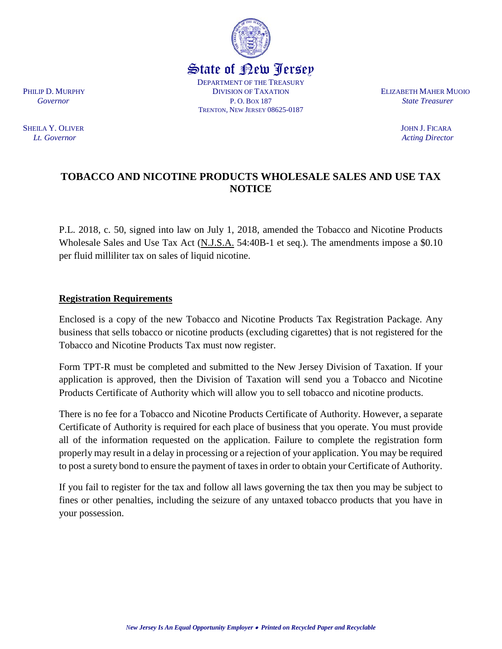SHEILA Y. OLIVER JOHN J. FICARA *Lt. Governor Acting Director Acting Director Acting Director* 

## **TOBACCO AND NICOTINE PRODUCTS WHOLESALE SALES AND USE TAX NOTICE**

P.L. 2018, c. 50, signed into law on July 1, 2018, amended the Tobacco and Nicotine Products Wholesale Sales and Use Tax Act (N.J.S.A. 54:40B-1 et seq.). The amendments impose a \$0.10 per fluid milliliter tax on sales of liquid nicotine.

## **Registration Requirements**

Enclosed is a copy of the new Tobacco and Nicotine Products Tax Registration Package. Any business that sells tobacco or nicotine products (excluding cigarettes) that is not registered for the Tobacco and Nicotine Products Tax must now register.

Form TPT-R must be completed and submitted to the New Jersey Division of Taxation. If your application is approved, then the Division of Taxation will send you a Tobacco and Nicotine Products Certificate of Authority which will allow you to sell tobacco and nicotine products.

There is no fee for a Tobacco and Nicotine Products Certificate of Authority. However, a separate Certificate of Authority is required for each place of business that you operate. You must provide all of the information requested on the application. Failure to complete the registration form properly may result in a delay in processing or a rejection of your application. You may be required to post a surety bond to ensure the payment of taxes in order to obtain your Certificate of Authority.

If you fail to register for the tax and follow all laws governing the tax then you may be subject to fines or other penalties, including the seizure of any untaxed tobacco products that you have in your possession.



State of New Jersey DEPARTMENT OF THE TREASURY

TRENTON, NEW JERSEY 08625-0187

PHILIP D. MURPHY **ELIZABETH MAHER MUOIO**  *Governor* P. O. BOX 187 *State Treasurer*